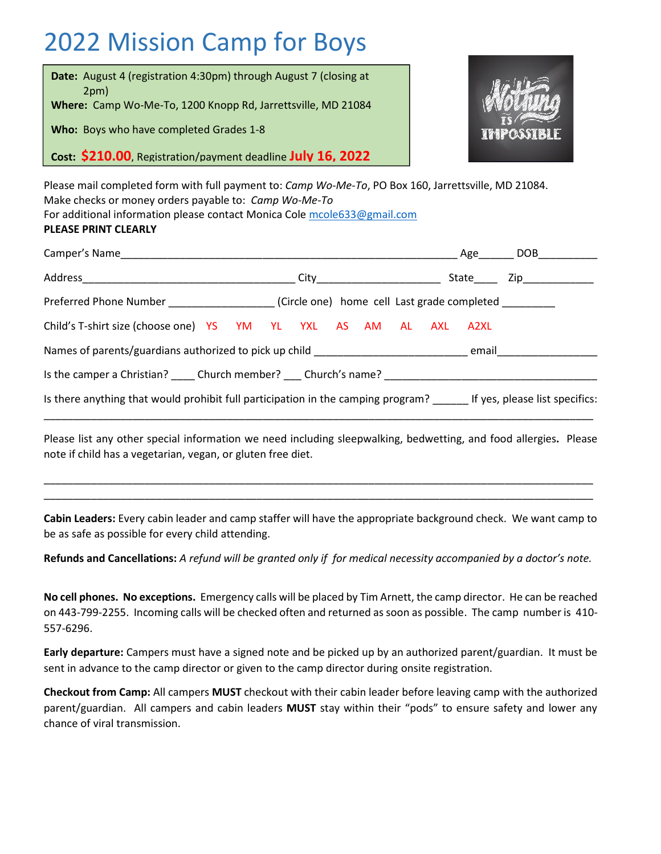# 2022 Mission Camp for Boys





Please mail completed form with full payment to: *Camp Wo-Me-To*, PO Box 160, Jarrettsville, MD 21084. Make checks or money orders payable to: *Camp Wo-Me-To*

For additional information please contact Monica Cole mcole633@gmail.com

#### **PLEASE PRINT CLEARLY**

|                                                                                                                 | Age DOB   |  |
|-----------------------------------------------------------------------------------------------------------------|-----------|--|
|                                                                                                                 | State Zip |  |
| Preferred Phone Number ______________________(Circle one) home cell Last grade completed __________             |           |  |
| Child's T-shirt size (choose one) YS YM YL YXL AS AM AL AXL A2XL                                                |           |  |
|                                                                                                                 |           |  |
| Is the camper a Christian? Church member? Church's name?                                                        |           |  |
| Is there anything that would prohibit full participation in the camping program? If yes, please list specifics: |           |  |
|                                                                                                                 |           |  |

Please list any other special information we need including sleepwalking, bedwetting, and food allergies**.** Please note if child has a vegetarian, vegan, or gluten free diet.

\_\_\_\_\_\_\_\_\_\_\_\_\_\_\_\_\_\_\_\_\_\_\_\_\_\_\_\_\_\_\_\_\_\_\_\_\_\_\_\_\_\_\_\_\_\_\_\_\_\_\_\_\_\_\_\_\_\_\_\_\_\_\_\_\_\_\_\_\_\_\_\_\_\_\_\_\_\_\_\_\_\_\_\_\_\_\_\_\_\_\_\_\_ \_\_\_\_\_\_\_\_\_\_\_\_\_\_\_\_\_\_\_\_\_\_\_\_\_\_\_\_\_\_\_\_\_\_\_\_\_\_\_\_\_\_\_\_\_\_\_\_\_\_\_\_\_\_\_\_\_\_\_\_\_\_\_\_\_\_\_\_\_\_\_\_\_\_\_\_\_\_\_\_\_\_\_\_\_\_\_\_\_\_\_\_\_

**Cabin Leaders:** Every cabin leader and camp staffer will have the appropriate background check. We want camp to be as safe as possible for every child attending.

**Refunds and Cancellations:** *A refund will be granted only if for medical necessity accompanied by a doctor's note.*

**No cell phones. No exceptions.** Emergency calls will be placed by Tim Arnett, the camp director. He can be reached on 443-799-2255. Incoming calls will be checked often and returned as soon as possible. The camp number is 410- 557-6296.

**Early departure:** Campers must have a signed note and be picked up by an authorized parent/guardian. It must be sent in advance to the camp director or given to the camp director during onsite registration.

**Checkout from Camp:** All campers **MUST** checkout with their cabin leader before leaving camp with the authorized parent/guardian. All campers and cabin leaders **MUST** stay within their "pods" to ensure safety and lower any chance of viral transmission.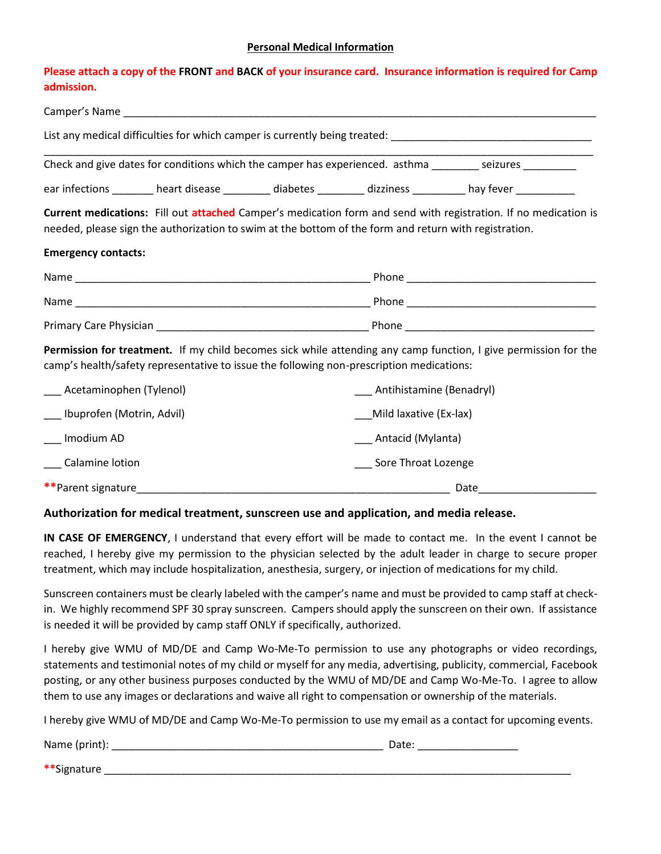#### **Personal Medical Information**

#### **Please attach a copy of the FRONT and BACK of your insurance card. Insurance information is required for Camp admission.**

|                               |                                                                                                       |                              | List any medical difficulties for which camper is currently being treated: ___________________________________  |
|-------------------------------|-------------------------------------------------------------------------------------------------------|------------------------------|-----------------------------------------------------------------------------------------------------------------|
|                               |                                                                                                       |                              | Check and give dates for conditions which the camper has experienced. asthma _______ seizures ________          |
|                               |                                                                                                       |                              | ear infections ________ heart disease ________ diabetes ________ dizziness ________ hay fever ___________       |
|                               | needed, please sign the authorization to swim at the bottom of the form and return with registration. |                              | Current medications: Fill out attached Camper's medication form and send with registration. If no medication is |
| <b>Emergency contacts:</b>    |                                                                                                       |                              |                                                                                                                 |
|                               |                                                                                                       |                              |                                                                                                                 |
|                               |                                                                                                       |                              |                                                                                                                 |
|                               |                                                                                                       |                              |                                                                                                                 |
|                               | camp's health/safety representative to issue the following non-prescription medications:              |                              | Permission for treatment. If my child becomes sick while attending any camp function, I give permission for the |
| ___ Acetaminophen (Tylenol)   |                                                                                                       | ___ Antihistamine (Benadryl) |                                                                                                                 |
| ___ Ibuprofen (Motrin, Advil) |                                                                                                       | Mild laxative (Ex-lax)       |                                                                                                                 |
| Imodium AD                    |                                                                                                       | ___ Antacid (Mylanta)        |                                                                                                                 |
| Calamine lotion               |                                                                                                       | Sore Throat Lozenge          |                                                                                                                 |
| **Parent signature            |                                                                                                       |                              | Date                                                                                                            |

#### **Authorization for medical treatment, sunscreen use and application, and media release.**

**IN CASE OF EMERGENCY**, I understand that every effort will be made to contact me. In the event I cannot be reached, I hereby give my permission to the physician selected by the adult leader in charge to secure proper treatment, which may include hospitalization, anesthesia, surgery, or injection of medications for my child.

Sunscreen containers must be clearly labeled with the camper's name and must be provided to camp staff at checkin. We highly recommend SPF 30 spray sunscreen. Campers should apply the sunscreen on their own. If assistance is needed it will be provided by camp staff ONLY if specifically, authorized.

I hereby give WMU of MD/DE and Camp Wo-Me-To permission to use any photographs or video recordings, statements and testimonial notes of my child or myself for any media, advertising, publicity, commercial, Facebook posting, or any other business purposes conducted by the WMU of MD/DE and Camp Wo-Me-To. I agree to allow them to use any images or declarations and waive all right to compensation or ownership of the materials.

I hereby give WMU of MD/DE and Camp Wo-Me-To permission to use my email as a contact for upcoming events.

Name (print): \_\_\_\_\_\_\_\_\_\_\_\_\_\_\_\_\_\_\_\_\_\_\_\_\_\_\_\_\_\_\_\_\_\_\_\_\_\_\_\_\_\_\_\_\_\_ Date: \_\_\_\_\_\_\_\_\_\_\_\_\_\_\_\_\_

**\*\*Signature**  $\overline{a}$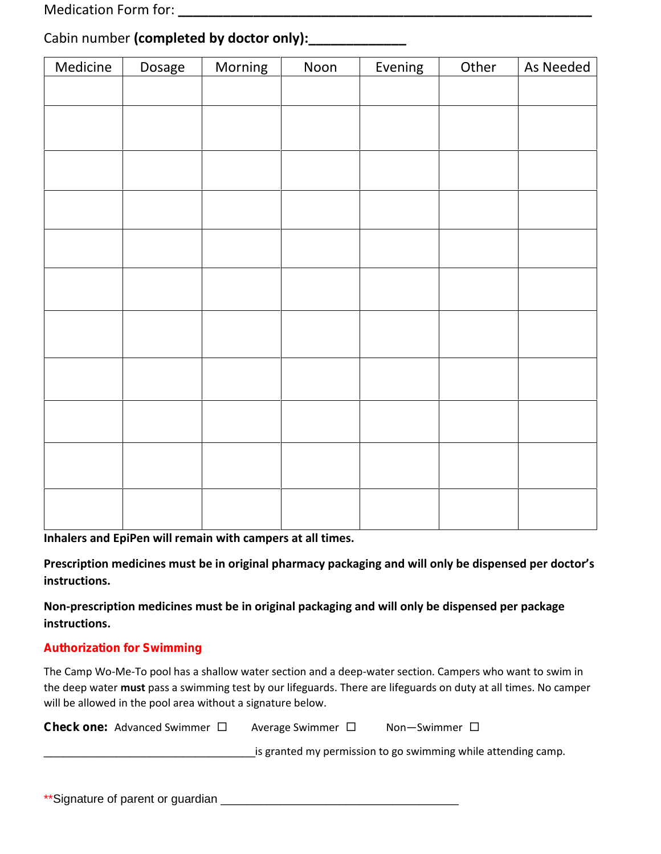Medication Form for: **\_\_\_\_\_\_\_\_\_\_\_\_\_\_\_\_\_\_\_\_\_\_\_\_\_\_\_\_\_\_\_\_\_\_\_\_\_\_\_\_\_\_\_\_\_\_\_\_\_\_\_\_\_\_\_**

|  | Cabin number (completed by doctor only):_______ |  |
|--|-------------------------------------------------|--|
|--|-------------------------------------------------|--|

| Medicine | Dosage | Morning | Noon | Evening | Other | As Needed |
|----------|--------|---------|------|---------|-------|-----------|
|          |        |         |      |         |       |           |
|          |        |         |      |         |       |           |
|          |        |         |      |         |       |           |
|          |        |         |      |         |       |           |
|          |        |         |      |         |       |           |
|          |        |         |      |         |       |           |
|          |        |         |      |         |       |           |
|          |        |         |      |         |       |           |
|          |        |         |      |         |       |           |
|          |        |         |      |         |       |           |
|          |        |         |      |         |       |           |
|          |        |         |      |         |       |           |
|          |        |         |      |         |       |           |
|          |        |         |      |         |       |           |
|          |        |         |      |         |       |           |
|          |        |         |      |         |       |           |
|          |        |         |      |         |       |           |
|          |        |         |      |         |       |           |
|          |        |         |      |         |       |           |

**Inhalers and EpiPen will remain with campers at all times.**

**Prescription medicines must be in original pharmacy packaging and will only be dispensed per doctor's instructions.**

**Non-prescription medicines must be in original packaging and will only be dispensed per package instructions.**

#### **Authorization for Swimming**

The Camp Wo-Me-To pool has a shallow water section and a deep-water section. Campers who want to swim in the deep water **must** pass a swimming test by our lifeguards. There are lifeguards on duty at all times. No camper will be allowed in the pool area without a signature below.

**Check one:** Advanced Swimmer □ Average Swimmer □ Non-Swimmer □

\_\_\_\_\_\_\_\_\_\_\_\_\_\_\_\_\_\_\_\_\_\_\_\_\_\_\_\_\_\_\_\_is granted my permission to go swimming while attending camp.

\*\*Signature of parent or guardian \_\_\_\_\_\_\_\_\_\_\_\_\_\_\_\_\_\_\_\_\_\_\_\_\_\_\_\_\_\_\_\_\_\_\_\_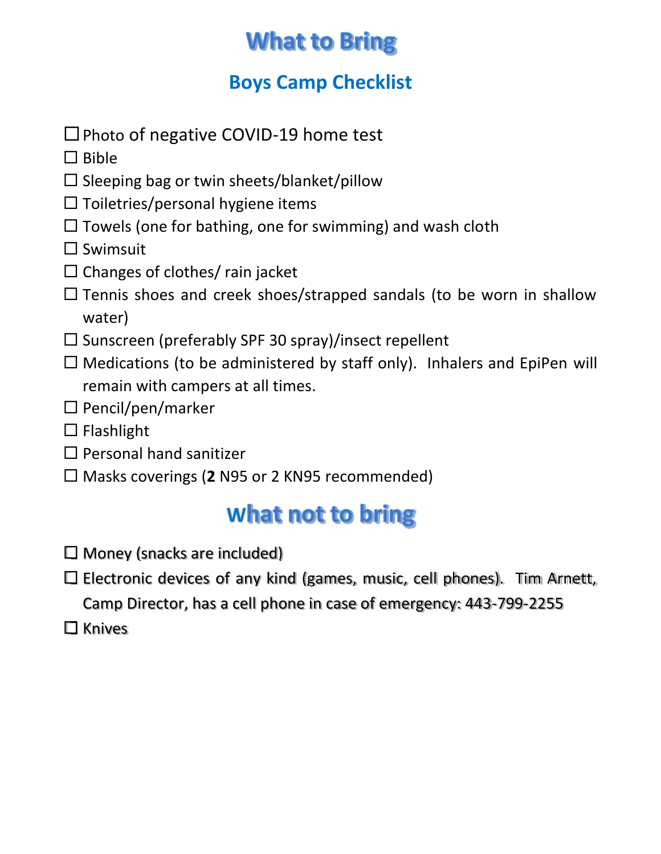## **What to Bring**

### **Boys Camp Checklist**

- $\square$  Photo of negative COVID-19 home test
- $\Box$  Bible
- $\square$  Sleeping bag or twin sheets/blanket/pillow
- $\square$  Toiletries/personal hygiene items
- $\Box$  Towels (one for bathing, one for swimming) and wash cloth
- $\square$  Swimsuit
- $\Box$  Changes of clothes/ rain jacket
- $\square$  Tennis shoes and creek shoes/strapped sandals (to be worn in shallow water)
- $\square$  Sunscreen (preferably SPF 30 spray)/insect repellent
- $\Box$  Medications (to be administered by staff only). Inhalers and EpiPen will remain with campers at all times.
- $\square$  Pencil/pen/marker
- $\square$  Flashlight
- $\Box$  Personal hand sanitizer
- □ Masks coverings (2 N95 or 2 KN95 recommended)

## **What not to bring**

- $\Box$  Money (snacks are included)
- $\square$  Electronic devices of any kind (games, music, cell phones). Tim Arnett, Camp Director, has a cell phone in case of emergency: 443-799-2255
- $\square$  Knives